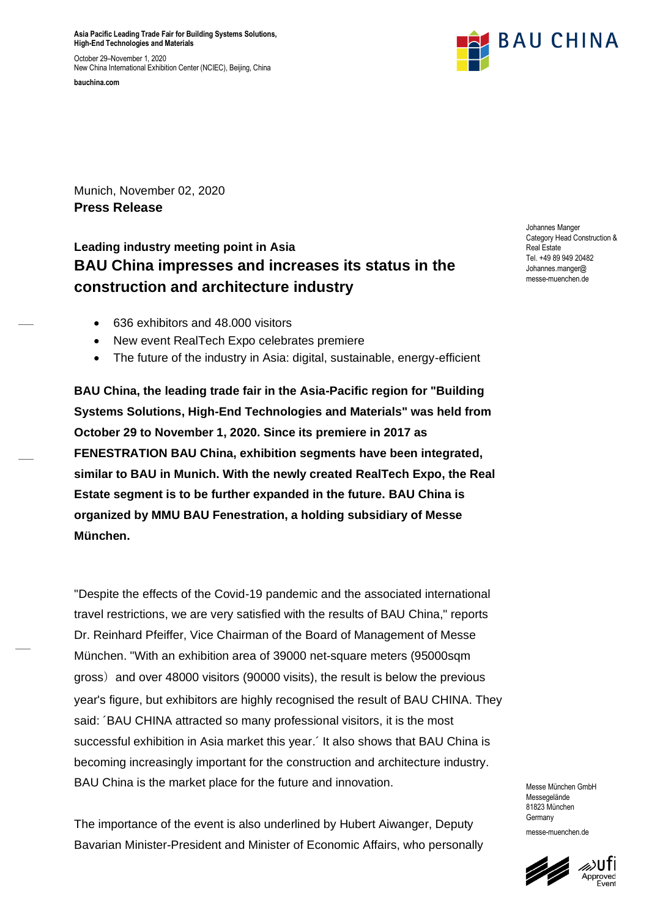**Asia Pacific Leading Trade Fair for Building Systems Solutions, High-End Technologies and Materials**

October 29–November 1, 2020 New China International Exhibition Center (NCIEC), Beijing, China





Munich, November 02, 2020 **Press Release**

# **Leading industry meeting point in Asia BAU China impresses and increases its status in the construction and architecture industry**

- 636 exhibitors and 48.000 visitors
- New event RealTech Expo celebrates premiere
- The future of the industry in Asia: digital, sustainable, energy-efficient

**BAU China, the leading trade fair in the Asia-Pacific region for "Building Systems Solutions, High-End Technologies and Materials" was held from October 29 to November 1, 2020. Since its premiere in 2017 as FENESTRATION BAU China, exhibition segments have been integrated, similar to BAU in Munich. With the newly created RealTech Expo, the Real Estate segment is to be further expanded in the future. BAU China is organized by MMU BAU Fenestration, a holding subsidiary of Messe München.**

"Despite the effects of the Covid-19 pandemic and the associated international travel restrictions, we are very satisfied with the results of BAU China," reports Dr. Reinhard Pfeiffer, Vice Chairman of the Board of Management of Messe München. "With an exhibition area of 39000 net-square meters (95000sqm gross) and over 48000 visitors (90000 visits), the result is below the previous year's figure, but exhibitors are highly recognised the result of BAU CHINA. They said: ´BAU CHINA attracted so many professional visitors, it is the most successful exhibition in Asia market this year.´ It also shows that BAU China is becoming increasingly important for the construction and architecture industry. BAU China is the market place for the future and innovation.

The importance of the event is also underlined by Hubert Aiwanger, Deputy Bavarian Minister-President and Minister of Economic Affairs, who personally Johannes Manger Category Head Construction & Real Estate Tel. +49 89 949 20482 Johannes.manger@ messe-muenchen.de

Messe München GmbH Messegelände 81823 München **Germany** messe-muenchen.de

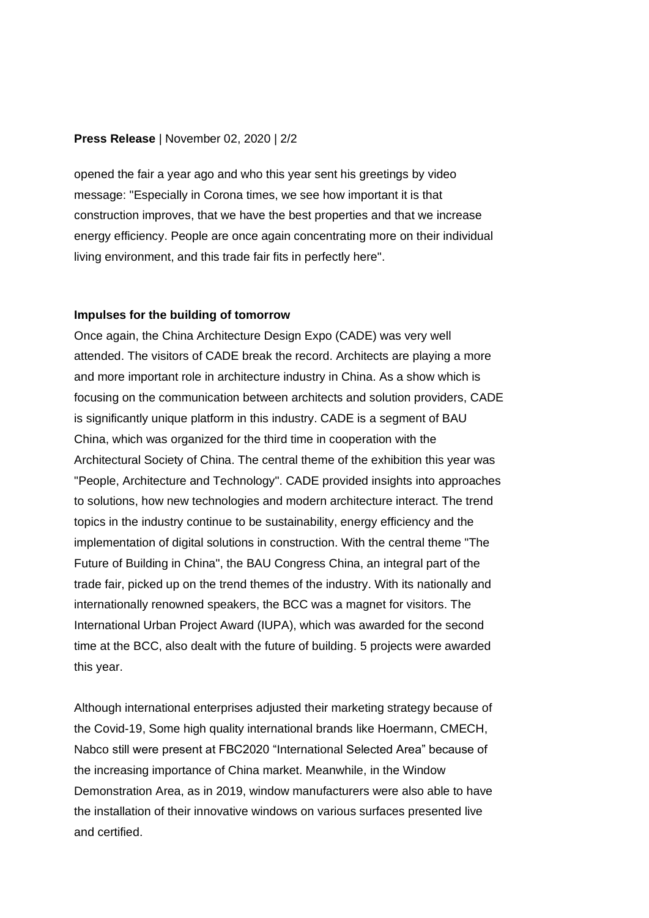### **Press Release** | November 02, 2020 | 2/2

opened the fair a year ago and who this year sent his greetings by video message: "Especially in Corona times, we see how important it is that construction improves, that we have the best properties and that we increase energy efficiency. People are once again concentrating more on their individual living environment, and this trade fair fits in perfectly here".

#### **Impulses for the building of tomorrow**

Once again, the China Architecture Design Expo (CADE) was very well attended. The visitors of CADE break the record. Architects are playing a more and more important role in architecture industry in China. As a show which is focusing on the communication between architects and solution providers, CADE is significantly unique platform in this industry. CADE is a segment of BAU China, which was organized for the third time in cooperation with the Architectural Society of China. The central theme of the exhibition this year was "People, Architecture and Technology". CADE provided insights into approaches to solutions, how new technologies and modern architecture interact. The trend topics in the industry continue to be sustainability, energy efficiency and the implementation of digital solutions in construction. With the central theme "The Future of Building in China", the BAU Congress China, an integral part of the trade fair, picked up on the trend themes of the industry. With its nationally and internationally renowned speakers, the BCC was a magnet for visitors. The International Urban Project Award (IUPA), which was awarded for the second time at the BCC, also dealt with the future of building. 5 projects were awarded this year.

Although international enterprises adjusted their marketing strategy because of the Covid-19, Some high quality international brands like Hoermann, CMECH, Nabco still were present at FBC2020 "International Selected Area" because of the increasing importance of China market. Meanwhile, in the Window Demonstration Area, as in 2019, window manufacturers were also able to have the installation of their innovative windows on various surfaces presented live and certified.